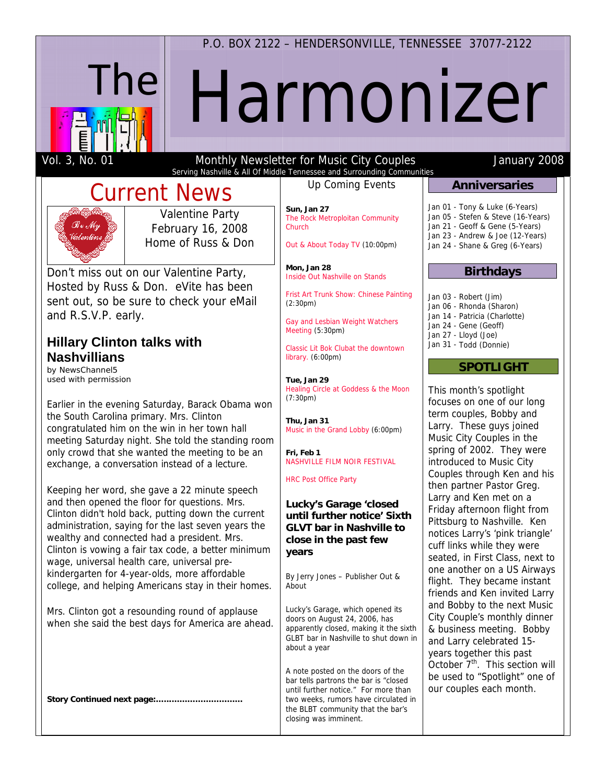### P.O. BOX 2122 - HENDERSONVILLE, TENNESSEE 37077-2122



# Harmonizer

Vol. 3, No. 01

#### Monthly Newsletter for Music City Couples Serving Nashville & All Of Middle Tennessee and Surrounding Communities

# **Current News**



**Valentine Party** February 16, 2008 Home of Russ & Don

Don't miss out on our Valentine Party, Hosted by Russ & Don. eVite has been sent out, so be sure to check your eMail and R.S.V.P. early.

## **Hillary Clinton talks with Nashvillians**

by NewsChannel5 used with permission

Earlier in the evening Saturday, Barack Obama won the South Carolina primary. Mrs. Clinton congratulated him on the win in her town hall meeting Saturday night. She told the standing room only crowd that she wanted the meeting to be an exchange, a conversation instead of a lecture.

Keeping her word, she gave a 22 minute speech and then opened the floor for questions. Mrs. Clinton didn't hold back, putting down the current administration, saying for the last seven years the wealthy and connected had a president. Mrs. Clinton is vowing a fair tax code, a better minimum wage, universal health care, universal prekindergarten for 4-year-olds, more affordable college, and helping Americans stay in their homes.

Mrs. Clinton got a resounding round of applause when she said the best days for America are ahead.

**Up Coming Events** 

Sun, Jan 27 The Rock Metroploitan Community Church

Out & About Today TV (10:00pm)

Mon. Jan 28 Inside Out Nashville on Stands

Frist Art Trunk Show: Chinese Painting  $(2:30pm)$ 

Gay and Lesbian Weight Watchers Meeting (5:30pm)

Classic Lit Bok Clubat the downtown library. (6:00pm)

Tue, Jan 29 Healing Circle at Goddess & the Moon  $(7:30pm)$ 

Thu, Jan 31 Music in the Grand Lobby (6:00pm)

Fri Feb 1 NASHVILLE FILM NOIR FESTIVAL

**HRC Post Office Party** 

#### Lucky's Garage 'closed until further notice' Sixth **GLVT bar in Nashville to** close in the past few years

By Jerry Jones - Publisher Out & About

Lucky's Garage, which opened its doors on August 24, 2006, has apparently closed, making it the sixth GLBT bar in Nashville to shut down in about a year

A note posted on the doors of the bar tells partrons the bar is "closed until further notice." For more than two weeks, rumors have circulated in the BLBT community that the bar's closing was imminent.

# **Anniversaries**

January 2008

Jan 01 - Tony & Luke (6-Years) Jan 05 - Stefen & Steve (16-Years) Jan 21 - Geoff & Gene (5-Years) Jan 23 - Andrew & Joe (12-Years) Jan 24 - Shane & Greg (6-Years)

#### **Birthdays**

Jan 03 - Robert (Jim) Jan 06 - Rhonda (Sharon) Jan 14 - Patricia (Charlotte) Jan 24 - Gene (Geoff) Jan 27 - Lloyd (Joe) Jan 31 - Todd (Donnie)

#### **SPOTLIGHT**

This month's spotlight focuses on one of our long term couples, Bobby and Larry. These guys joined Music City Couples in the spring of 2002. They were introduced to Music City Couples through Ken and his then partner Pastor Greg. Larry and Ken met on a Friday afternoon flight from Pittsburg to Nashville. Ken notices Larry's 'pink triangle' cuff links while they were seated, in First Class, next to one another on a US Airways flight. They became instant friends and Ken invited Larry and Bobby to the next Music City Couple's monthly dinner & business meeting. Bobby and Larry celebrated 15years together this past October 7<sup>th</sup>. This section will be used to "Spotlight" one of our couples each month.